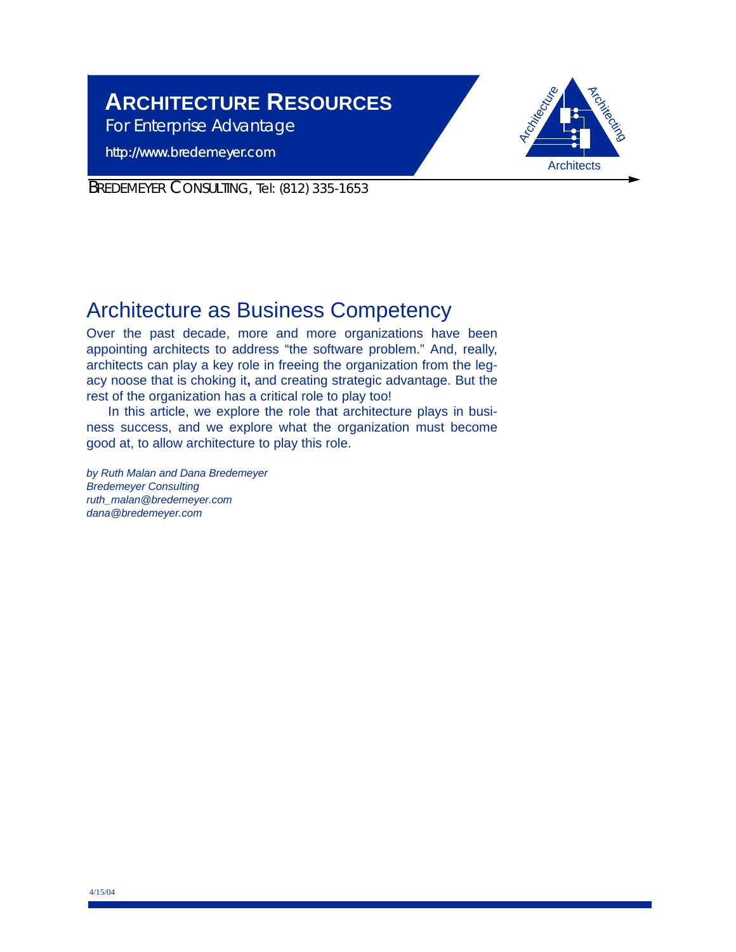# **ARCHITECTURE RESOURCES**

*For Enterprise Advantage*

http://www.bredemeyer.com



BREDEMEYER CONSULTING, Tel: (812) 335-1653

# Architecture as Business Competency

Over the past decade, more and more organizations have been appointing architects to address "the software problem." And, really, architects can play a key role in freeing the organization from the legacy noose that is choking it**,** and creating strategic advantage. But the rest of the organization has a critical role to play too!

In this article, we explore the role that architecture plays in business success, and we explore what the organization must become good at, to allow architecture to play this role.

*by Ruth Malan and Dana Bredemeyer Bredemeyer Consulting ruth\_malan@bredemeyer.com dana@bredemeyer.com*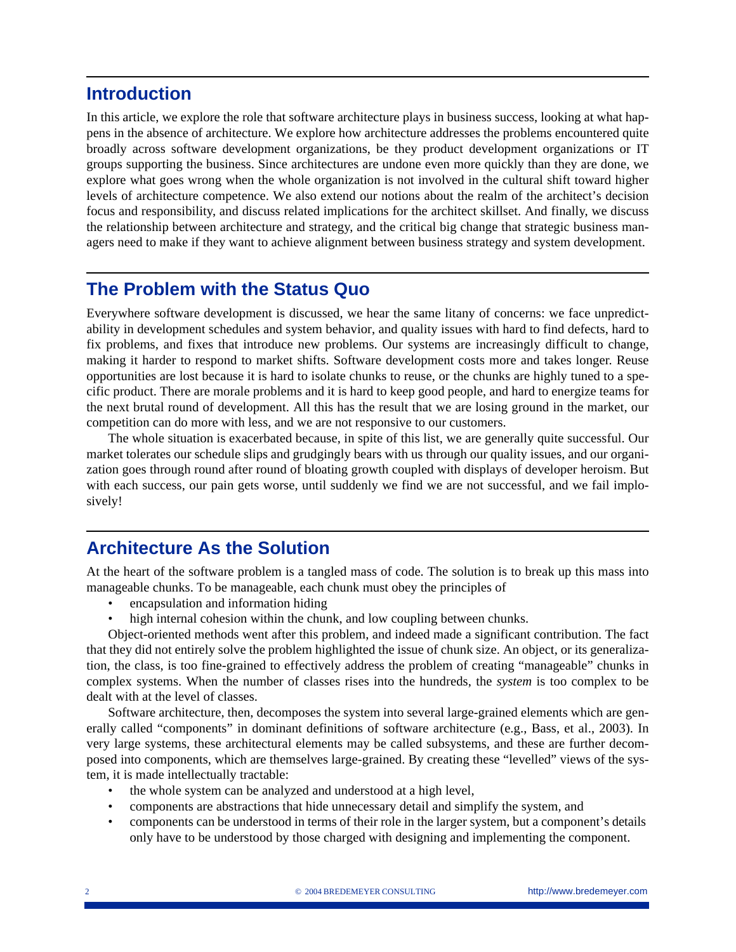### **Introduction**

In this article, we explore the role that software architecture plays in business success, looking at what happens in the absence of architecture. We explore how architecture addresses the problems encountered quite broadly across software development organizations, be they product development organizations or IT groups supporting the business. Since architectures are undone even more quickly than they are done, we explore what goes wrong when the whole organization is not involved in the cultural shift toward higher levels of architecture competence. We also extend our notions about the realm of the architect's decision focus and responsibility, and discuss related implications for the architect skillset. And finally, we discuss the relationship between architecture and strategy, and the critical big change that strategic business managers need to make if they want to achieve alignment between business strategy and system development.

### **The Problem with the Status Quo**

Everywhere software development is discussed, we hear the same litany of concerns: we face unpredictability in development schedules and system behavior, and quality issues with hard to find defects, hard to fix problems, and fixes that introduce new problems. Our systems are increasingly difficult to change, making it harder to respond to market shifts. Software development costs more and takes longer. Reuse opportunities are lost because it is hard to isolate chunks to reuse, or the chunks are highly tuned to a specific product. There are morale problems and it is hard to keep good people, and hard to energize teams for the next brutal round of development. All this has the result that we are losing ground in the market, our competition can do more with less, and we are not responsive to our customers.

The whole situation is exacerbated because, in spite of this list, we are generally quite successful. Our market tolerates our schedule slips and grudgingly bears with us through our quality issues, and our organization goes through round after round of bloating growth coupled with displays of developer heroism. But with each success, our pain gets worse, until suddenly we find we are not successful, and we fail implosively!

## **Architecture As the Solution**

At the heart of the software problem is a tangled mass of code. The solution is to break up this mass into manageable chunks. To be manageable, each chunk must obey the principles of

- encapsulation and information hiding
- high internal cohesion within the chunk, and low coupling between chunks.

Object-oriented methods went after this problem, and indeed made a significant contribution. The fact that they did not entirely solve the problem highlighted the issue of chunk size. An object, or its generalization, the class, is too fine-grained to effectively address the problem of creating "manageable" chunks in complex systems. When the number of classes rises into the hundreds, the *system* is too complex to be dealt with at the level of classes.

Software architecture, then, decomposes the system into several large-grained elements which are generally called "components" in dominant definitions of software architecture (e.g., Bass, et al., 2003). In very large systems, these architectural elements may be called subsystems, and these are further decomposed into components, which are themselves large-grained. By creating these "levelled" views of the system, it is made intellectually tractable:

- the whole system can be analyzed and understood at a high level,
- components are abstractions that hide unnecessary detail and simplify the system, and
- components can be understood in terms of their role in the larger system, but a component's details only have to be understood by those charged with designing and implementing the component.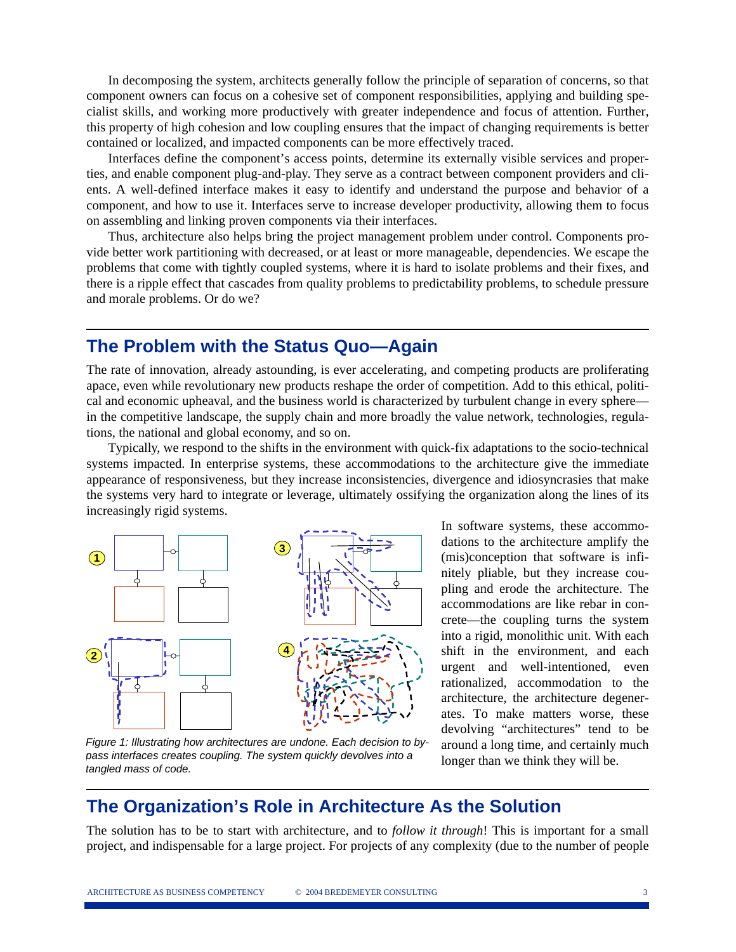In decomposing the system, architects generally follow the principle of separation of concerns, so that component owners can focus on a cohesive set of component responsibilities, applying and building specialist skills, and working more productively with greater independence and focus of attention. Further, this property of high cohesion and low coupling ensures that the impact of changing requirements is better contained or localized, and impacted components can be more effectively traced.

Interfaces define the component's access points, determine its externally visible services and properties, and enable component plug-and-play. They serve as a contract between component providers and clients. A well-defined interface makes it easy to identify and understand the purpose and behavior of a component, and how to use it. Interfaces serve to increase developer productivity, allowing them to focus on assembling and linking proven components via their interfaces.

Thus, architecture also helps bring the project management problem under control. Components provide better work partitioning with decreased, or at least or more manageable, dependencies. We escape the problems that come with tightly coupled systems, where it is hard to isolate problems and their fixes, and there is a ripple effect that cascades from quality problems to predictability problems, to schedule pressure and morale problems. Or do we?

### **The Problem with the Status Quo—Again**

The rate of innovation, already astounding, is ever accelerating, and competing products are proliferating apace, even while revolutionary new products reshape the order of competition. Add to this ethical, political and economic upheaval, and the business world is characterized by turbulent change in every sphere in the competitive landscape, the supply chain and more broadly the value network, technologies, regulations, the national and global economy, and so on.

Typically, we respond to the shifts in the environment with quick-fix adaptations to the socio-technical systems impacted. In enterprise systems, these accommodations to the architecture give the immediate appearance of responsiveness, but they increase inconsistencies, divergence and idiosyncrasies that make the systems very hard to integrate or leverage, ultimately ossifying the organization along the lines of its increasingly rigid systems.



*Figure 1: Illustrating how architectures are undone. Each decision to bypass interfaces creates coupling. The system quickly devolves into a tangled mass of code.*

In software systems, these accommodations to the architecture amplify the (mis)conception that software is infinitely pliable, but they increase coupling and erode the architecture. The accommodations are like rebar in concrete—the coupling turns the system into a rigid, monolithic unit. With each shift in the environment, and each urgent and well-intentioned, even rationalized, accommodation to the architecture, the architecture degenerates. To make matters worse, these devolving "architectures" tend to be around a long time, and certainly much longer than we think they will be.

### **The Organization's Role in Architecture As the Solution**

The solution has to be to start with architecture, and to *follow it through*! This is important for a small project, and indispensable for a large project. For projects of any complexity (due to the number of people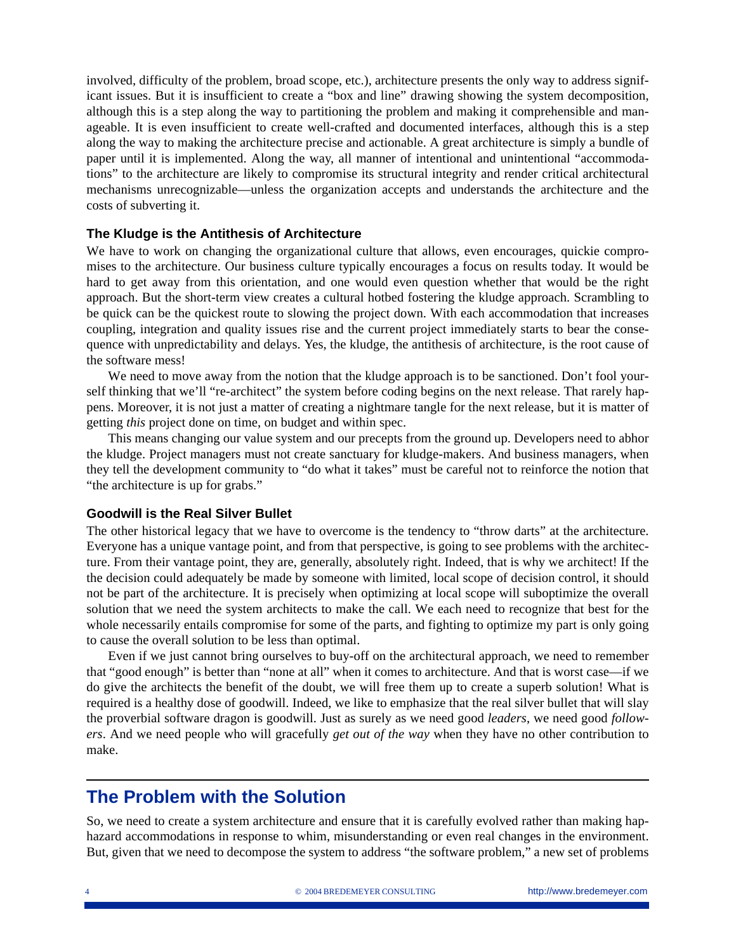involved, difficulty of the problem, broad scope, etc.), architecture presents the only way to address significant issues. But it is insufficient to create a "box and line" drawing showing the system decomposition, although this is a step along the way to partitioning the problem and making it comprehensible and manageable. It is even insufficient to create well-crafted and documented interfaces, although this is a step along the way to making the architecture precise and actionable. A great architecture is simply a bundle of paper until it is implemented. Along the way, all manner of intentional and unintentional "accommodations" to the architecture are likely to compromise its structural integrity and render critical architectural mechanisms unrecognizable—unless the organization accepts and understands the architecture and the costs of subverting it.

#### **The Kludge is the Antithesis of Architecture**

We have to work on changing the organizational culture that allows, even encourages, quickie compromises to the architecture. Our business culture typically encourages a focus on results today. It would be hard to get away from this orientation, and one would even question whether that would be the right approach. But the short-term view creates a cultural hotbed fostering the kludge approach. Scrambling to be quick can be the quickest route to slowing the project down. With each accommodation that increases coupling, integration and quality issues rise and the current project immediately starts to bear the consequence with unpredictability and delays. Yes, the kludge, the antithesis of architecture, is the root cause of the software mess!

We need to move away from the notion that the kludge approach is to be sanctioned. Don't fool yourself thinking that we'll "re-architect" the system before coding begins on the next release. That rarely happens. Moreover, it is not just a matter of creating a nightmare tangle for the next release, but it is matter of getting *this* project done on time, on budget and within spec.

This means changing our value system and our precepts from the ground up. Developers need to abhor the kludge. Project managers must not create sanctuary for kludge-makers. And business managers, when they tell the development community to "do what it takes" must be careful not to reinforce the notion that "the architecture is up for grabs."

#### **Goodwill is the Real Silver Bullet**

The other historical legacy that we have to overcome is the tendency to "throw darts" at the architecture. Everyone has a unique vantage point, and from that perspective, is going to see problems with the architecture. From their vantage point, they are, generally, absolutely right. Indeed, that is why we architect! If the the decision could adequately be made by someone with limited, local scope of decision control, it should not be part of the architecture. It is precisely when optimizing at local scope will suboptimize the overall solution that we need the system architects to make the call. We each need to recognize that best for the whole necessarily entails compromise for some of the parts, and fighting to optimize my part is only going to cause the overall solution to be less than optimal.

Even if we just cannot bring ourselves to buy-off on the architectural approach, we need to remember that "good enough" is better than "none at all" when it comes to architecture. And that is worst case—if we do give the architects the benefit of the doubt, we will free them up to create a superb solution! What is required is a healthy dose of goodwill. Indeed, we like to emphasize that the real silver bullet that will slay the proverbial software dragon is goodwill. Just as surely as we need good *leaders*, we need good *followers*. And we need people who will gracefully *get out of the way* when they have no other contribution to make.

### **The Problem with the Solution**

So, we need to create a system architecture and ensure that it is carefully evolved rather than making haphazard accommodations in response to whim, misunderstanding or even real changes in the environment. But, given that we need to decompose the system to address "the software problem," a new set of problems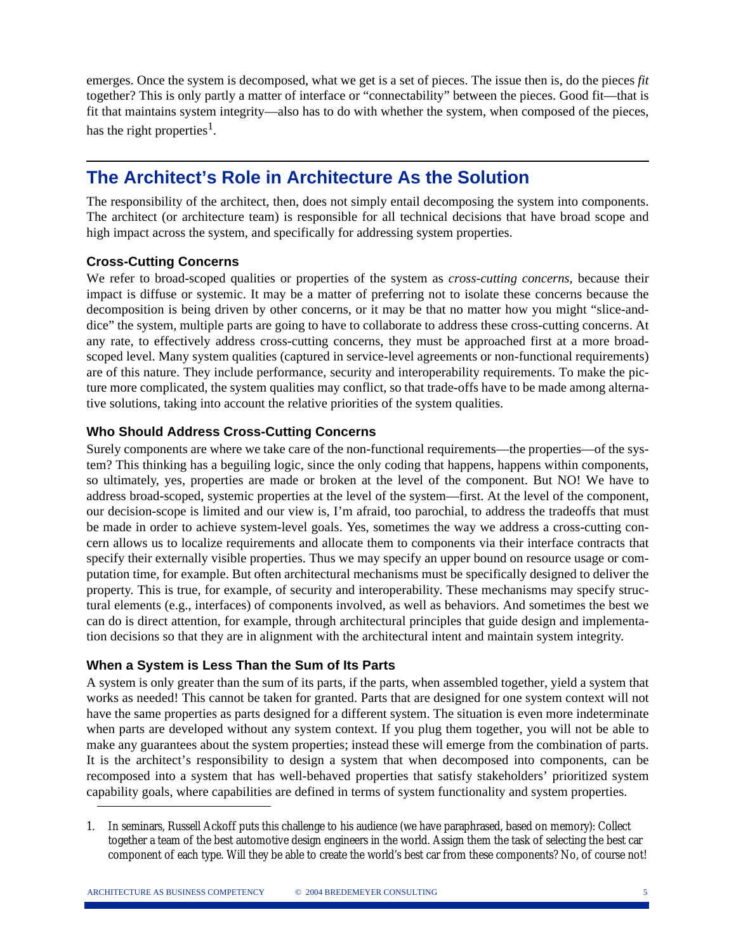emerges. Once the system is decomposed, what we get is a set of pieces. The issue then is, do the pieces *fit* together? This is only partly a matter of interface or "connectability" between the pieces. Good fit—that is fit that maintains system integrity—also has to do with whether the system, when composed of the pieces, has the right properties<sup>1</sup>.

## **The Architect's Role in Architecture As the Solution**

The responsibility of the architect, then, does not simply entail decomposing the system into components. The architect (or architecture team) is responsible for all technical decisions that have broad scope and high impact across the system, and specifically for addressing system properties.

### **Cross-Cutting Concerns**

We refer to broad-scoped qualities or properties of the system as *cross-cutting concerns*, because their impact is diffuse or systemic. It may be a matter of preferring not to isolate these concerns because the decomposition is being driven by other concerns, or it may be that no matter how you might "slice-anddice" the system, multiple parts are going to have to collaborate to address these cross-cutting concerns. At any rate, to effectively address cross-cutting concerns, they must be approached first at a more broadscoped level. Many system qualities (captured in service-level agreements or non-functional requirements) are of this nature. They include performance, security and interoperability requirements. To make the picture more complicated, the system qualities may conflict, so that trade-offs have to be made among alternative solutions, taking into account the relative priorities of the system qualities.

### **Who Should Address Cross-Cutting Concerns**

Surely components are where we take care of the non-functional requirements—the properties—of the system? This thinking has a beguiling logic, since the only coding that happens, happens within components, so ultimately, yes, properties are made or broken at the level of the component. But NO! We have to address broad-scoped, systemic properties at the level of the system—first. At the level of the component, our decision-scope is limited and our view is, I'm afraid, too parochial, to address the tradeoffs that must be made in order to achieve system-level goals. Yes, sometimes the way we address a cross-cutting concern allows us to localize requirements and allocate them to components via their interface contracts that specify their externally visible properties. Thus we may specify an upper bound on resource usage or computation time, for example. But often architectural mechanisms must be specifically designed to deliver the property. This is true, for example, of security and interoperability. These mechanisms may specify structural elements (e.g., interfaces) of components involved, as well as behaviors. And sometimes the best we can do is direct attention, for example, through architectural principles that guide design and implementation decisions so that they are in alignment with the architectural intent and maintain system integrity.

### **When a System is Less Than the Sum of Its Parts**

A system is only greater than the sum of its parts, if the parts, when assembled together, yield a system that works as needed! This cannot be taken for granted. Parts that are designed for one system context will not have the same properties as parts designed for a different system. The situation is even more indeterminate when parts are developed without any system context. If you plug them together, you will not be able to make any guarantees about the system properties; instead these will emerge from the combination of parts. It is the architect's responsibility to design a system that when decomposed into components, can be recomposed into a system that has well-behaved properties that satisfy stakeholders' prioritized system capability goals, where capabilities are defined in terms of system functionality and system properties.

<sup>1.</sup> In seminars, Russell Ackoff puts this challenge to his audience (we have paraphrased, based on memory): Collect together a team of the best automotive design engineers in the world. Assign them the task of selecting the best car component of each type. Will they be able to create the world's best car from these components? No, of course not!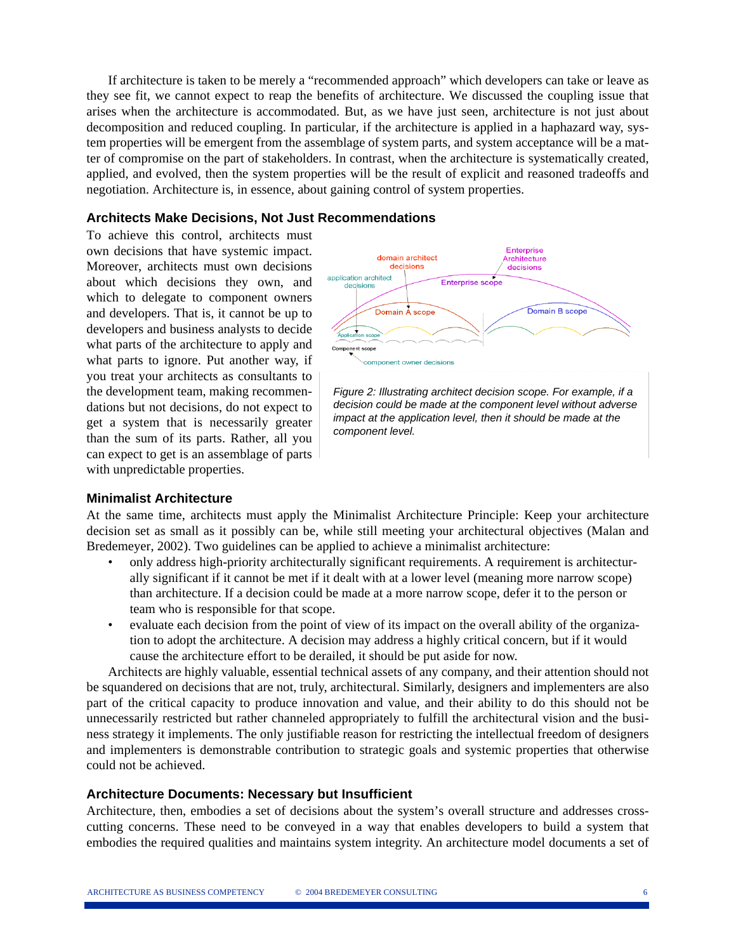If architecture is taken to be merely a "recommended approach" which developers can take or leave as they see fit, we cannot expect to reap the benefits of architecture. We discussed the coupling issue that arises when the architecture is accommodated. But, as we have just seen, architecture is not just about decomposition and reduced coupling. In particular, if the architecture is applied in a haphazard way, system properties will be emergent from the assemblage of system parts, and system acceptance will be a matter of compromise on the part of stakeholders. In contrast, when the architecture is systematically created, applied, and evolved, then the system properties will be the result of explicit and reasoned tradeoffs and negotiation. Architecture is, in essence, about gaining control of system properties.

#### **Architects Make Decisions, Not Just Recommendations**

To achieve this control, architects must own decisions that have systemic impact. Moreover, architects must own decisions about which decisions they own, and which to delegate to component owners and developers. That is, it cannot be up to developers and business analysts to decide what parts of the architecture to apply and what parts to ignore. Put another way, if you treat your architects as consultants to the development team, making recommendations but not decisions, do not expect to get a system that is necessarily greater than the sum of its parts. Rather, all you can expect to get is an assemblage of parts with unpredictable properties.



*Figure 2: Illustrating architect decision scope. For example, if a decision could be made at the component level without adverse impact at the application level, then it should be made at the component level.*

#### **Minimalist Architecture**

At the same time, architects must apply the Minimalist Architecture Principle: Keep your architecture decision set as small as it possibly can be, while still meeting your architectural objectives (Malan and Bredemeyer, 2002). Two guidelines can be applied to achieve a minimalist architecture:

- only address high-priority architecturally significant requirements. A requirement is architecturally significant if it cannot be met if it dealt with at a lower level (meaning more narrow scope) than architecture. If a decision could be made at a more narrow scope, defer it to the person or team who is responsible for that scope.
- evaluate each decision from the point of view of its impact on the overall ability of the organization to adopt the architecture. A decision may address a highly critical concern, but if it would cause the architecture effort to be derailed, it should be put aside for now.

Architects are highly valuable, essential technical assets of any company, and their attention should not be squandered on decisions that are not, truly, architectural. Similarly, designers and implementers are also part of the critical capacity to produce innovation and value, and their ability to do this should not be unnecessarily restricted but rather channeled appropriately to fulfill the architectural vision and the business strategy it implements. The only justifiable reason for restricting the intellectual freedom of designers and implementers is demonstrable contribution to strategic goals and systemic properties that otherwise could not be achieved.

#### **Architecture Documents: Necessary but Insufficient**

Architecture, then, embodies a set of decisions about the system's overall structure and addresses crosscutting concerns. These need to be conveyed in a way that enables developers to build a system that embodies the required qualities and maintains system integrity. An architecture model documents a set of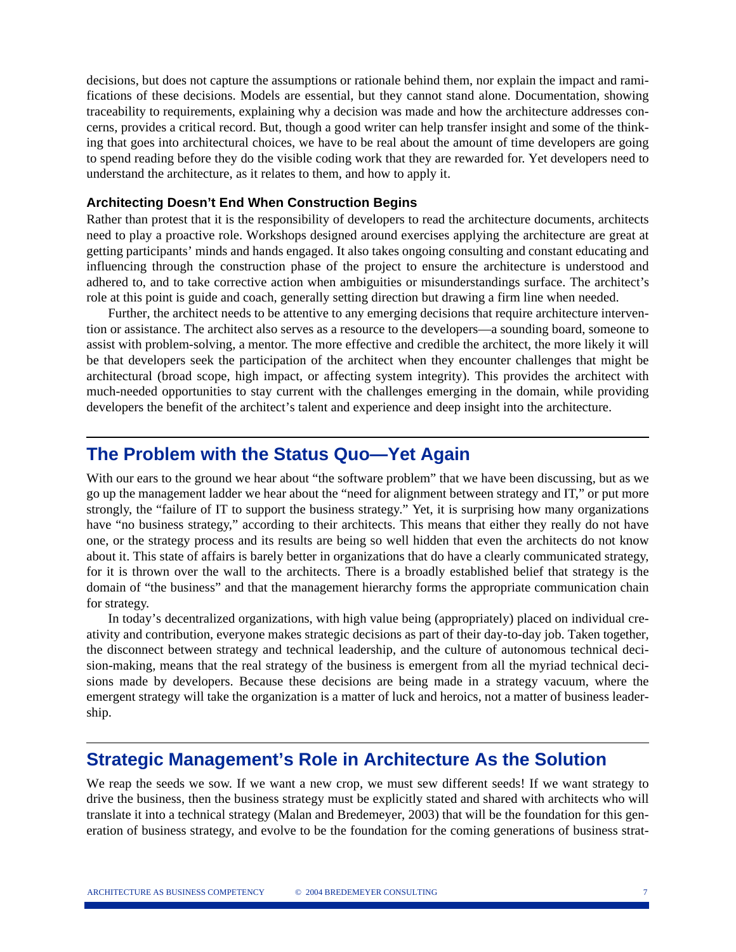decisions, but does not capture the assumptions or rationale behind them, nor explain the impact and ramifications of these decisions. Models are essential, but they cannot stand alone. Documentation, showing traceability to requirements, explaining why a decision was made and how the architecture addresses concerns, provides a critical record. But, though a good writer can help transfer insight and some of the thinking that goes into architectural choices, we have to be real about the amount of time developers are going to spend reading before they do the visible coding work that they are rewarded for. Yet developers need to understand the architecture, as it relates to them, and how to apply it.

#### **Architecting Doesn't End When Construction Begins**

Rather than protest that it is the responsibility of developers to read the architecture documents, architects need to play a proactive role. Workshops designed around exercises applying the architecture are great at getting participants' minds and hands engaged. It also takes ongoing consulting and constant educating and influencing through the construction phase of the project to ensure the architecture is understood and adhered to, and to take corrective action when ambiguities or misunderstandings surface. The architect's role at this point is guide and coach, generally setting direction but drawing a firm line when needed.

Further, the architect needs to be attentive to any emerging decisions that require architecture intervention or assistance. The architect also serves as a resource to the developers—a sounding board, someone to assist with problem-solving, a mentor. The more effective and credible the architect, the more likely it will be that developers seek the participation of the architect when they encounter challenges that might be architectural (broad scope, high impact, or affecting system integrity). This provides the architect with much-needed opportunities to stay current with the challenges emerging in the domain, while providing developers the benefit of the architect's talent and experience and deep insight into the architecture.

### **The Problem with the Status Quo—Yet Again**

With our ears to the ground we hear about "the software problem" that we have been discussing, but as we go up the management ladder we hear about the "need for alignment between strategy and IT," or put more strongly, the "failure of IT to support the business strategy." Yet, it is surprising how many organizations have "no business strategy," according to their architects. This means that either they really do not have one, or the strategy process and its results are being so well hidden that even the architects do not know about it. This state of affairs is barely better in organizations that do have a clearly communicated strategy, for it is thrown over the wall to the architects. There is a broadly established belief that strategy is the domain of "the business" and that the management hierarchy forms the appropriate communication chain for strategy.

In today's decentralized organizations, with high value being (appropriately) placed on individual creativity and contribution, everyone makes strategic decisions as part of their day-to-day job. Taken together, the disconnect between strategy and technical leadership, and the culture of autonomous technical decision-making, means that the real strategy of the business is emergent from all the myriad technical decisions made by developers. Because these decisions are being made in a strategy vacuum, where the emergent strategy will take the organization is a matter of luck and heroics, not a matter of business leadership.

### **Strategic Management's Role in Architecture As the Solution**

We reap the seeds we sow. If we want a new crop, we must sew different seeds! If we want strategy to drive the business, then the business strategy must be explicitly stated and shared with architects who will translate it into a technical strategy (Malan and Bredemeyer, 2003) that will be the foundation for this generation of business strategy, and evolve to be the foundation for the coming generations of business strat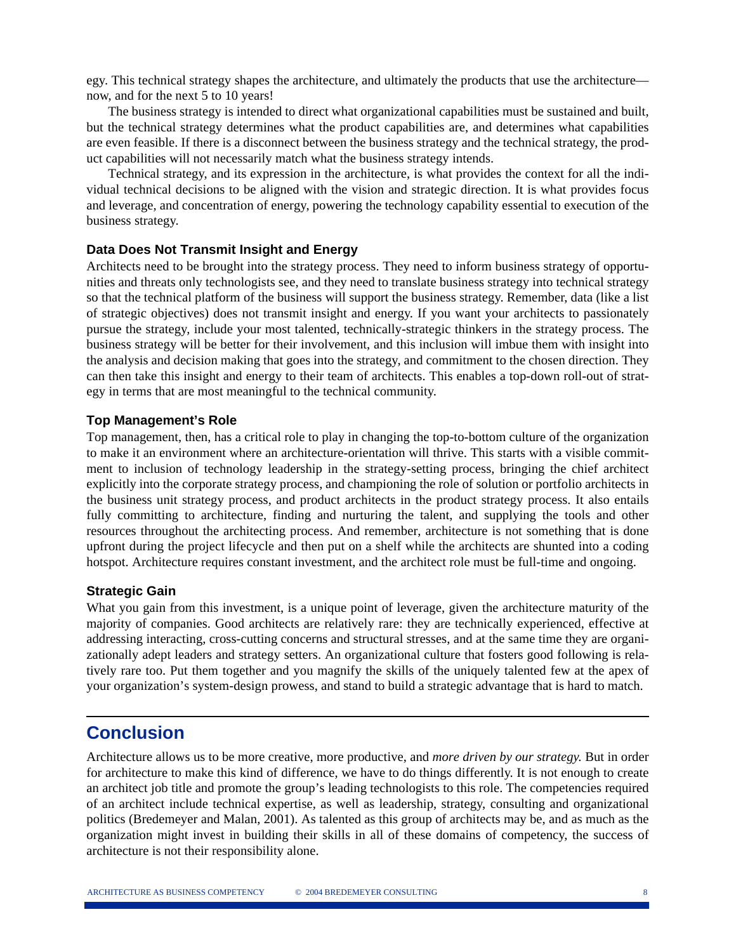egy. This technical strategy shapes the architecture, and ultimately the products that use the architecture now, and for the next 5 to 10 years!

The business strategy is intended to direct what organizational capabilities must be sustained and built, but the technical strategy determines what the product capabilities are, and determines what capabilities are even feasible. If there is a disconnect between the business strategy and the technical strategy, the product capabilities will not necessarily match what the business strategy intends.

Technical strategy, and its expression in the architecture, is what provides the context for all the individual technical decisions to be aligned with the vision and strategic direction. It is what provides focus and leverage, and concentration of energy, powering the technology capability essential to execution of the business strategy.

#### **Data Does Not Transmit Insight and Energy**

Architects need to be brought into the strategy process. They need to inform business strategy of opportunities and threats only technologists see, and they need to translate business strategy into technical strategy so that the technical platform of the business will support the business strategy. Remember, data (like a list of strategic objectives) does not transmit insight and energy. If you want your architects to passionately pursue the strategy, include your most talented, technically-strategic thinkers in the strategy process. The business strategy will be better for their involvement, and this inclusion will imbue them with insight into the analysis and decision making that goes into the strategy, and commitment to the chosen direction. They can then take this insight and energy to their team of architects. This enables a top-down roll-out of strategy in terms that are most meaningful to the technical community.

#### **Top Management's Role**

Top management, then, has a critical role to play in changing the top-to-bottom culture of the organization to make it an environment where an architecture-orientation will thrive. This starts with a visible commitment to inclusion of technology leadership in the strategy-setting process, bringing the chief architect explicitly into the corporate strategy process, and championing the role of solution or portfolio architects in the business unit strategy process, and product architects in the product strategy process. It also entails fully committing to architecture, finding and nurturing the talent, and supplying the tools and other resources throughout the architecting process. And remember, architecture is not something that is done upfront during the project lifecycle and then put on a shelf while the architects are shunted into a coding hotspot. Architecture requires constant investment, and the architect role must be full-time and ongoing.

#### **Strategic Gain**

What you gain from this investment, is a unique point of leverage, given the architecture maturity of the majority of companies. Good architects are relatively rare: they are technically experienced, effective at addressing interacting, cross-cutting concerns and structural stresses, and at the same time they are organizationally adept leaders and strategy setters. An organizational culture that fosters good following is relatively rare too. Put them together and you magnify the skills of the uniquely talented few at the apex of your organization's system-design prowess, and stand to build a strategic advantage that is hard to match.

### **Conclusion**

Architecture allows us to be more creative, more productive, and *more driven by our strategy.* But in order for architecture to make this kind of difference, we have to do things differently. It is not enough to create an architect job title and promote the group's leading technologists to this role. The competencies required of an architect include technical expertise, as well as leadership, strategy, consulting and organizational politics (Bredemeyer and Malan, 2001). As talented as this group of architects may be, and as much as the organization might invest in building their skills in all of these domains of competency, the success of architecture is not their responsibility alone.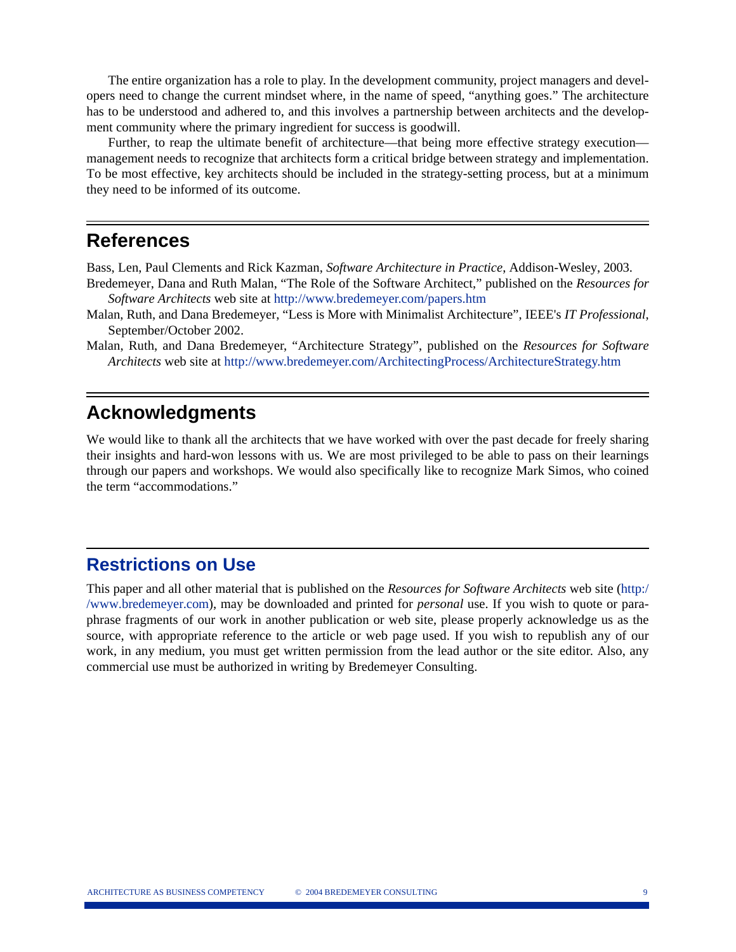The entire organization has a role to play. In the development community, project managers and developers need to change the current mindset where, in the name of speed, "anything goes." The architecture has to be understood and adhered to, and this involves a partnership between architects and the development community where the primary ingredient for success is goodwill.

Further, to reap the ultimate benefit of architecture—that being more effective strategy execution management needs to recognize that architects form a critical bridge between strategy and implementation. To be most effective, key architects should be included in the strategy-setting process, but at a minimum they need to be informed of its outcome.

### **References**

Bass, Len, Paul Clements and Rick Kazman, *Software Architecture in Practice*, Addison-Wesley, 2003.

- Bredemeyer, Dana and Ruth Malan, "The Role of the Software Architect," published on the *Resources for Software Architects* web site at http://www.bredemeyer.com/papers.htm
- Malan, Ruth, and Dana Bredemeyer, "Less is More with Minimalist Architecture", IEEE's *IT Professional*, September/October 2002.
- Malan, Ruth, and Dana Bredemeyer, "Architecture Strategy", published on the *Resources for Software Architects* web site at http://www.bredemeyer.com/ArchitectingProcess/ArchitectureStrategy.htm

### **Acknowledgments**

We would like to thank all the architects that we have worked with over the past decade for freely sharing their insights and hard-won lessons with us. We are most privileged to be able to pass on their learnings through our papers and workshops. We would also specifically like to recognize Mark Simos, who coined the term "accommodations."

### **Restrictions on Use**

This paper and all other material that is published on the *Resources for Software Architects* web site (http:/ /www.bredemeyer.com), may be downloaded and printed for *personal* use. If you wish to quote or paraphrase fragments of our work in another publication or web site, please properly acknowledge us as the source, with appropriate reference to the article or web page used. If you wish to republish any of our work, in any medium, you must get written permission from the lead author or the site editor. Also, any commercial use must be authorized in writing by Bredemeyer Consulting.